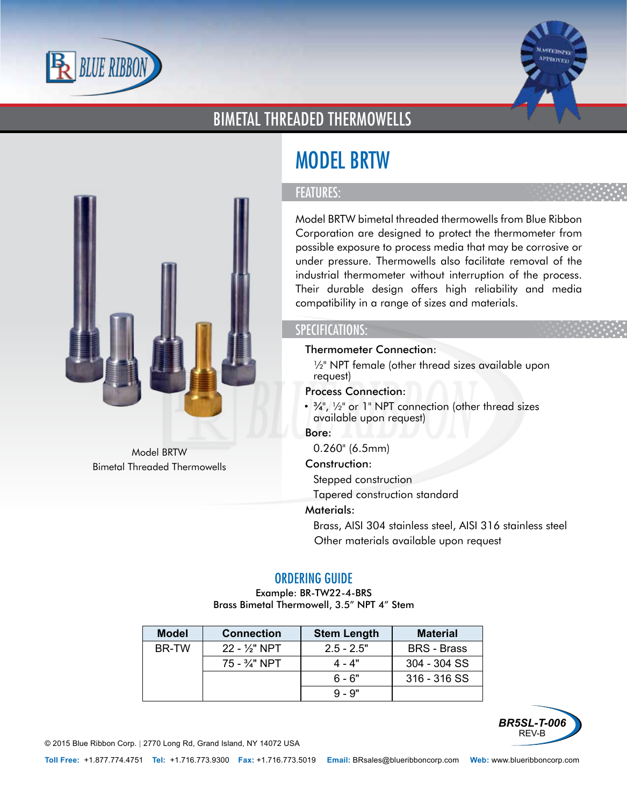



## BIMETAL THREADED THERMOWELLS



#### FEATURES:

Model BRTW bimetal threaded thermowells from Blue Ribbon Corporation are designed to protect the thermometer from possible exposure to process media that may be corrosive or under pressure. Thermowells also facilitate removal of the industrial thermometer without interruption of the process. Their durable design offers high reliability and media compatibility in a range of sizes and materials.

### SPECIFICATIONS:

- Thermometer Connection:
	- ½" NPT female (other thread sizes available upon request)
- Process Connection:
- $\frac{3}{4}$ ,  $\frac{1}{2}$  or 1" NPT connection (other thread sizes available upon request)
- Bore:
	- 0.260" (6.5mm)
- Construction:
	- Stepped construction
	- Tapered construction standard
- Materials:
	- Brass, AISI 304 stainless steel, AISI 316 stainless steel
	- Other materials available upon request

#### ORDERING GUIDE

Example: BR-TW22-4-BRS Brass Bimetal Thermowell, 3.5" NPT 4" Stem

| <b>Model</b> | <b>Connection</b>        | <b>Stem Length</b> | <b>Material</b>    |
|--------------|--------------------------|--------------------|--------------------|
| BR-TW        | $22 - 1/3$ " NPT         | $2.5 - 2.5"$       | <b>BRS</b> - Brass |
|              | $75 - \frac{3}{4}$ " NPT | 4 - 4"             | 304 - 304 SS       |
|              |                          | .6 - 6"            | 316 - 316 SS       |
|              |                          | $9 - 9"$           |                    |



© 2015 Blue Ribbon Corp. *<sup>|</sup>* 2770 Long Rd, Grand Island, NY 14072 USA



Model BRTW Bimetal Threaded Thermowells